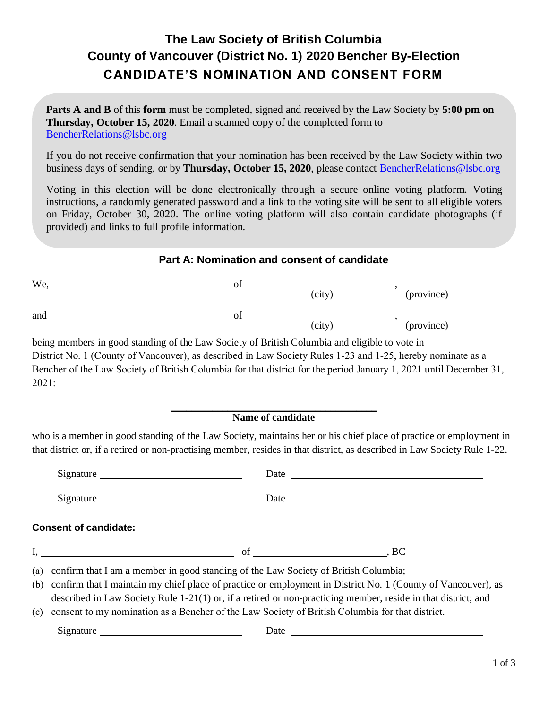# **The Law Society of British Columbia County of Vancouver (District No. 1) 2020 Bencher By-Election CANDIDATE'S NOMINATION AND CONSENT FORM**

**Parts A and B** of this **form** must be completed, signed and received by the Law Society by **5:00 pm on Thursday, October 15, 2020**. Email a scanned copy of the completed form to BencherRelations@lsbc.org

If you do not receive confirmation that your nomination has been received by the Law Society within two business days of sending, or by **Thursday, October 15, 2020**, please contact BencherRelations@lsbc.org

Voting in this election will be done electronically through a secure online voting platform. Voting instructions, a randomly generated password and a link to the voting site will be sent to all eligible voters on Friday, October 30, 2020. The online voting platform will also contain candidate photographs (if provided) and links to full profile information.

### **Part A: Nomination and consent of candidate**

| We, | Οİ |        |            |
|-----|----|--------|------------|
|     |    | (city) | (province) |
| and | ΟĪ |        |            |
|     |    | (city) | (province) |

being members in good standing of the Law Society of British Columbia and eligible to vote in District No. 1 (County of Vancouver), as described in Law Society Rules 1-23 and 1-25, hereby nominate as a Bencher of the Law Society of British Columbia for that district for the period January 1, 2021 until December 31, 2021:

#### $\overline{\phantom{a}}$  , and the set of the set of the set of the set of the set of the set of the set of the set of the set of the set of the set of the set of the set of the set of the set of the set of the set of the set of the s **Name of candidate**

who is a member in good standing of the Law Society, maintains her or his chief place of practice or employment in that district or, if a retired or non-practising member, resides in that district, as described in Law Society Rule 1-22.

|     | Signature                                                                                                                                                                                                        |  |
|-----|------------------------------------------------------------------------------------------------------------------------------------------------------------------------------------------------------------------|--|
|     | <b>Consent of candidate:</b>                                                                                                                                                                                     |  |
|     |                                                                                                                                                                                                                  |  |
|     | (a) confirm that I am a member in good standing of the Law Society of British Columbia;                                                                                                                          |  |
|     | (b) confirm that I maintain my chief place of practice or employment in District No. 1 (County of Vancouver), as                                                                                                 |  |
| (c) | described in Law Society Rule 1-21(1) or, if a retired or non-practicing member, reside in that district; and<br>consent to my nomination as a Bencher of the Law Society of British Columbia for that district. |  |
|     |                                                                                                                                                                                                                  |  |